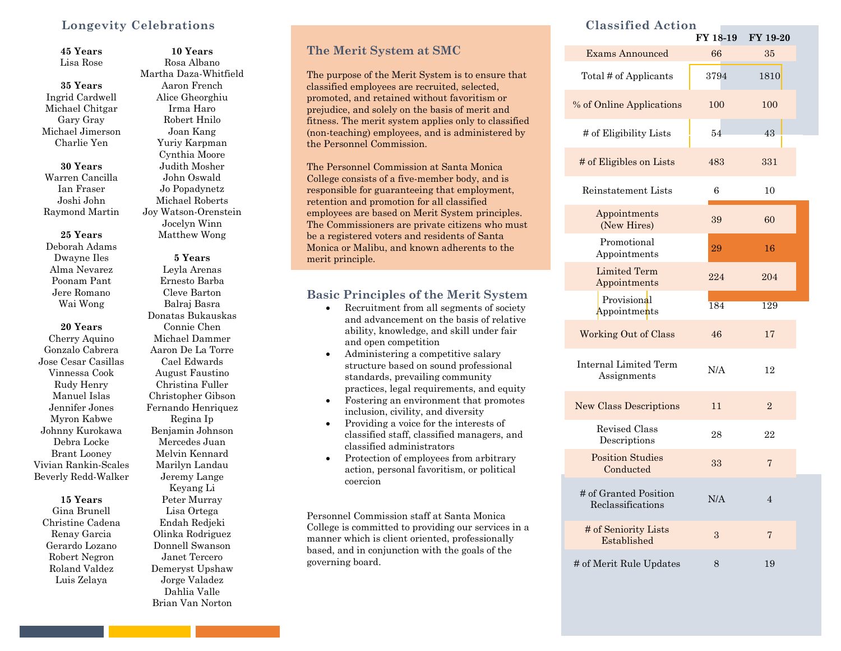## **Longevity Celebrations**

**45 Years** Lisa Rose

**35 Years** Ingrid Cardwell Michael Chitgar Gary Gray Michael Jimerson Charlie Yen

**30 Years** Warren Cancilla Ian Fraser Joshi John Raymond Martin

#### **25 Years**

Deborah Adams Dwayne Iles Alma Nevarez Poonam Pant Jere Romano Wai Wong

#### **20 Years**

Cherry Aquino Gonzalo Cabrera Jose Cesar Casillas Vinnessa Cook Rudy Henry Manuel Islas Jennifer Jones Myron Kabwe Johnny Kurokawa Debra Locke Brant Looney Vivian Rankin-Scales Beverly Redd-Walker

#### **15 Years** Gina Brunell

Christine Cadena Renay Garcia Gerardo Lozano Robert Negron Roland Valdez Luis Zelaya

Rosa Albano Martha Daza-Whitfield Aaron French Alice Gheorghiu Irma Haro Robert Hnilo Joan Kang Yuriy Karpman Cynthia Moore Judith Mosher John Oswald Jo Popadynetz Michael Roberts Joy Watson-Orenstein Jocelyn Winn Matthew Wong

**10 Years**

# **5 Years**

Leyla Arenas Ernesto Barba Cleve Barton Balraj Basra Donatas Bukauskas Connie Chen Michael Dammer Aaron De La Torre Cael Edwards August Faustino Christina Fuller Christopher Gibson Fernando Henriquez Regina Ip Benjamin Johnson Mercedes Juan Melvin Kennard Marilyn Landau Jeremy Lange Keyang Li Peter Murray Lisa Ortega Endah Redjeki Olinka Rodriguez Donnell Swanson Janet Tercero Demeryst Upshaw Jorge Valadez Dahlia Valle Brian Van Norton

#### **The Merit System at SMC**

 classified employees are recruited, selected, The purpose of the Merit System is to ensure that promoted, and retained without favoritism or prejudice, and solely on the basis of merit and fitness. The merit system applies only to classified (non-teaching) employees, and is administered by the Personnel Commission.

The Personnel Commission at Santa Monica College consists of a five-member body, and is responsible for guaranteeing that employment, retention and promotion for all classified employees are based on Merit System principles. The Commissioners are private citizens who must be a registered voters and residents of Santa Monica or Malibu, and known adherents to the merit principle.

## **Basic Principles of the Merit System**

- Recruitment from all segments of society and advancement on the basis of relative ability, knowledge, and skill under fair and open competition
- standards, prevailing community • Administering a competitive salary structure based on sound professional practices, legal requirements, and equity
- Fostering an environment that promotes inclusion, civility, and diversity
- Providing a voice for the interests of classified staff, classified managers, and classified administrators
- Protection of employees from arbitrary action, personal favoritism, or political coercion

Personnel Commission staff at Santa Monica College is committed to providing our services in a manner which is client oriented, professionally based, and in conjunction with the goals of the governing board.

#### **Classified Action**

|                                             | FY 18-19 | FY 19-20       |
|---------------------------------------------|----------|----------------|
| <b>Exams Announced</b>                      | 66       | 35             |
| Total # of Applicants                       | 3794     | 1810           |
| % of Online Applications                    | 100      | 100            |
| # of Eligibility Lists                      | 54       | 43             |
| # of Eligibles on Lists                     | 483      | 331            |
| Reinstatement Lists                         | 6        | 10             |
| Appointments<br>(New Hires)                 | 39       | 60             |
| Promotional<br>Appointments                 | 29       | 16             |
| <b>Limited Term</b><br>Appointments         | 224      | 204            |
| Provisional<br>Appointments                 | 184      | 129            |
| <b>Working Out of Class</b>                 | 46       | 17             |
| <b>Internal Limited Term</b><br>Assignments | N/A      | 12             |
| <b>New Class Descriptions</b>               | 11       | $\overline{2}$ |
| Revised Class<br>Descriptions               | 28       | 22             |
| <b>Position Studies</b><br>Conducted        | 33       | 7              |
| # of Granted Position<br>Reclassifications  | N/A      | $\overline{4}$ |
| # of Seniority Lists<br>Established         | 3        | 7              |
| # of Merit Rule Updates                     | 8        | 19             |